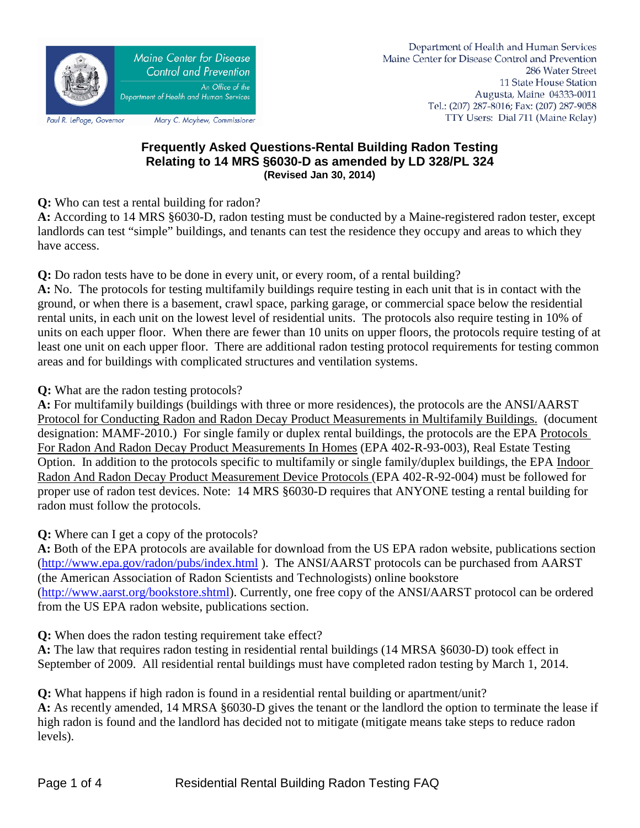

## **Frequently Asked Questions-Rental Building Radon Testing Relating to 14 MRS §6030-D as amended by LD 328/PL 324 (Revised Jan 30, 2014)**

**Q:** Who can test a rental building for radon?

**A:** According to 14 MRS §6030-D, radon testing must be conducted by a Maine-registered radon tester, except landlords can test "simple" buildings, and tenants can test the residence they occupy and areas to which they have access.

**Q:** Do radon tests have to be done in every unit, or every room, of a rental building?

**A:** No. The protocols for testing multifamily buildings require testing in each unit that is in contact with the ground, or when there is a basement, crawl space, parking garage, or commercial space below the residential rental units, in each unit on the lowest level of residential units. The protocols also require testing in 10% of units on each upper floor. When there are fewer than 10 units on upper floors, the protocols require testing of at least one unit on each upper floor. There are additional radon testing protocol requirements for testing common areas and for buildings with complicated structures and ventilation systems.

**Q:** What are the radon testing protocols?

**A:** For multifamily buildings (buildings with three or more residences), the protocols are the ANSI/AARST Protocol for Conducting Radon and Radon Decay Product Measurements in Multifamily Buildings. (document designation: MAMF-2010.) For single family or duplex rental buildings, the protocols are the EPA Protocols For Radon And Radon Decay Product Measurements In Homes (EPA 402-R-93-003), Real Estate Testing Option. In addition to the protocols specific to multifamily or single family/duplex buildings, the EPA Indoor Radon And Radon Decay Product Measurement Device Protocols (EPA 402-R-92-004) must be followed for proper use of radon test devices. Note: 14 MRS §6030-D requires that ANYONE testing a rental building for radon must follow the protocols.

**Q:** Where can I get a copy of the protocols?

**A:** Both of the EPA protocols are available for download from the US EPA radon website, publications section [\(http://www.epa.gov/radon/pubs/index.html](http://www.epa.gov/radon/pubs/index.html) ). The ANSI/AARST protocols can be purchased from AARST (the American Association of Radon Scientists and Technologists) online bookstore [\(http://www.aarst.org/bookstore.shtml\)](http://www.aarst.org/bookstore.shtml). Currently, one free copy of the ANSI/AARST protocol can be ordered from the US EPA radon website, publications section.

**Q:** When does the radon testing requirement take effect?

**A:** The law that requires radon testing in residential rental buildings (14 MRSA §6030-D) took effect in September of 2009. All residential rental buildings must have completed radon testing by March 1, 2014.

**Q:** What happens if high radon is found in a residential rental building or apartment/unit? **A:** As recently amended, 14 MRSA §6030-D gives the tenant or the landlord the option to terminate the lease if high radon is found and the landlord has decided not to mitigate (mitigate means take steps to reduce radon levels).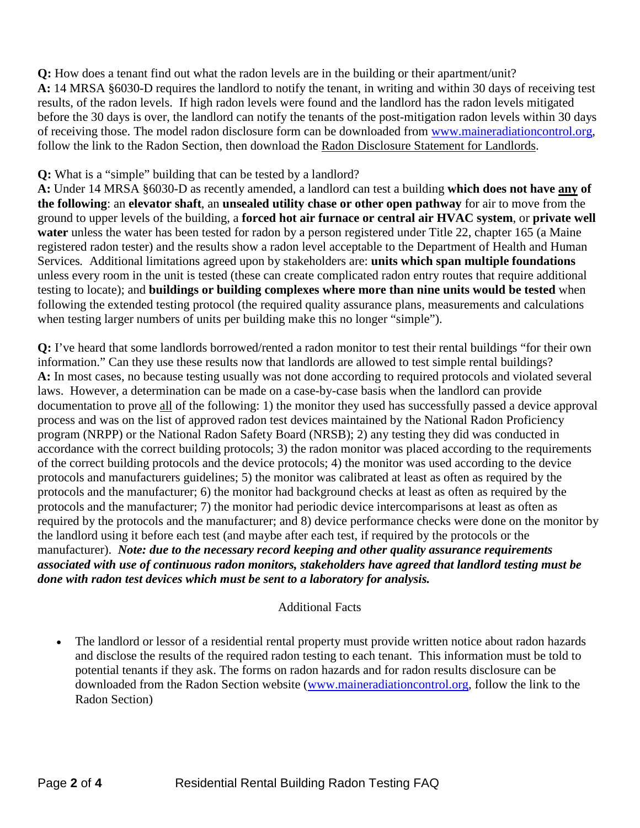**Q:** How does a tenant find out what the radon levels are in the building or their apartment/unit? **A:** 14 MRSA §6030-D requires the landlord to notify the tenant, in writing and within 30 days of receiving test results, of the radon levels. If high radon levels were found and the landlord has the radon levels mitigated before the 30 days is over, the landlord can notify the tenants of the post-mitigation radon levels within 30 days of receiving those. The model radon disclosure form can be downloaded from [www.maineradiationcontrol.org,](http://www.maineradiationcontrol.org/) follow the link to the Radon Section, then download the Radon Disclosure Statement for Landlords.

## **Q:** What is a "simple" building that can be tested by a landlord?

**A:** Under 14 MRSA §6030-D as recently amended, a landlord can test a building **which does not have any of the following**: an **elevator shaft**, an **unsealed utility chase or other open pathway** for air to move from the ground to upper levels of the building, a **forced hot air furnace or central air HVAC system**, or **private well** water unless the water has been tested for radon by a person registered under Title 22, chapter 165 (a Maine registered radon tester) and the results show a radon level acceptable to the Department of Health and Human Services*.* Additional limitations agreed upon by stakeholders are: **units which span multiple foundations** unless every room in the unit is tested (these can create complicated radon entry routes that require additional testing to locate); and **buildings or building complexes where more than nine units would be tested** when following the extended testing protocol (the required quality assurance plans, measurements and calculations when testing larger numbers of units per building make this no longer "simple").

**Q:** I've heard that some landlords borrowed/rented a radon monitor to test their rental buildings "for their own information." Can they use these results now that landlords are allowed to test simple rental buildings? **A:** In most cases, no because testing usually was not done according to required protocols and violated several laws. However, a determination can be made on a case-by-case basis when the landlord can provide documentation to prove all of the following: 1) the monitor they used has successfully passed a device approval process and was on the list of approved radon test devices maintained by the National Radon Proficiency program (NRPP) or the National Radon Safety Board (NRSB); 2) any testing they did was conducted in accordance with the correct building protocols; 3) the radon monitor was placed according to the requirements of the correct building protocols and the device protocols; 4) the monitor was used according to the device protocols and manufacturers guidelines; 5) the monitor was calibrated at least as often as required by the protocols and the manufacturer; 6) the monitor had background checks at least as often as required by the protocols and the manufacturer; 7) the monitor had periodic device intercomparisons at least as often as required by the protocols and the manufacturer; and 8) device performance checks were done on the monitor by the landlord using it before each test (and maybe after each test, if required by the protocols or the manufacturer). *Note: due to the necessary record keeping and other quality assurance requirements associated with use of continuous radon monitors, stakeholders have agreed that landlord testing must be done with radon test devices which must be sent to a laboratory for analysis.*

## Additional Facts

The landlord or lessor of a residential rental property must provide written notice about radon hazards and disclose the results of the required radon testing to each tenant. This information must be told to potential tenants if they ask. The forms on radon hazards and for radon results disclosure can be downloaded from the Radon Section website [\(www.maineradiationcontrol.org,](http://www.maineradiationcontrol.org/) follow the link to the Radon Section)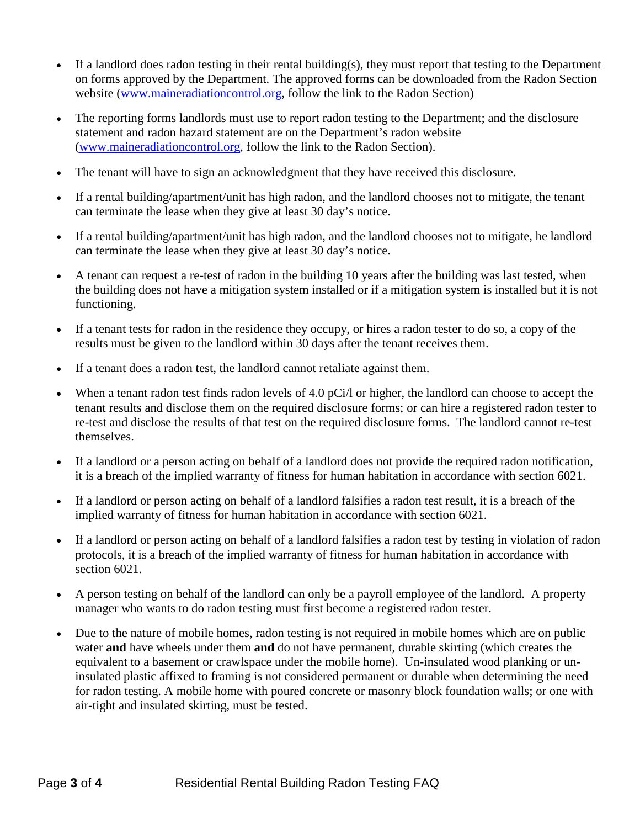- If a landlord does radon testing in their rental building(s), they must report that testing to the Department on forms approved by the Department. The approved forms can be downloaded from the Radon Section website [\(www.maineradiationcontrol.org,](http://www.maineradiationcontrol.org/) follow the link to the Radon Section)
- The reporting forms landlords must use to report radon testing to the Department; and the disclosure statement and radon hazard statement are on the Department's radon website [\(www.maineradiationcontrol.org,](http://www.maineradiationcontrol.org/) follow the link to the Radon Section).
- The tenant will have to sign an acknowledgment that they have received this disclosure.
- If a rental building/apartment/unit has high radon, and the landlord chooses not to mitigate, the tenant can terminate the lease when they give at least 30 day's notice.
- If a rental building/apartment/unit has high radon, and the landlord chooses not to mitigate, he landlord can terminate the lease when they give at least 30 day's notice.
- A tenant can request a re-test of radon in the building 10 years after the building was last tested, when the building does not have a mitigation system installed or if a mitigation system is installed but it is not functioning.
- If a tenant tests for radon in the residence they occupy, or hires a radon tester to do so, a copy of the results must be given to the landlord within 30 days after the tenant receives them.
- If a tenant does a radon test, the landlord cannot retaliate against them.
- When a tenant radon test finds radon levels of 4.0 pCi/l or higher, the landlord can choose to accept the tenant results and disclose them on the required disclosure forms; or can hire a registered radon tester to re-test and disclose the results of that test on the required disclosure forms. The landlord cannot re-test themselves.
- If a landlord or a person acting on behalf of a landlord does not provide the required radon notification, it is a breach of the implied warranty of fitness for human habitation in accordance with section 6021.
- If a landlord or person acting on behalf of a landlord falsifies a radon test result, it is a breach of the implied warranty of fitness for human habitation in accordance with section 6021.
- If a landlord or person acting on behalf of a landlord falsifies a radon test by testing in violation of radon protocols, it is a breach of the implied warranty of fitness for human habitation in accordance with section 6021.
- A person testing on behalf of the landlord can only be a payroll employee of the landlord. A property manager who wants to do radon testing must first become a registered radon tester.
- Due to the nature of mobile homes, radon testing is not required in mobile homes which are on public water **and** have wheels under them **and** do not have permanent, durable skirting (which creates the equivalent to a basement or crawlspace under the mobile home). Un-insulated wood planking or uninsulated plastic affixed to framing is not considered permanent or durable when determining the need for radon testing. A mobile home with poured concrete or masonry block foundation walls; or one with air-tight and insulated skirting, must be tested.